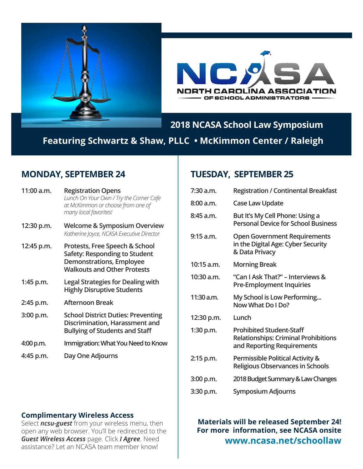



## **2018 NCASA School Law Symposium**

**Featuring Schwartz & Shaw, PLLC • McKimmon Center / Raleigh** 

## **MONDAY, SEPTEMBER 24**

| 11:00 a.m.  | <b>Registration Opens</b><br>Lunch On Your Own / Try the Corner Cafe<br>at McKimmon or choose from one of<br>many local favorites!       |
|-------------|------------------------------------------------------------------------------------------------------------------------------------------|
| 12:30 p.m.  | <b>Welcome &amp; Symposium Overview</b><br>Katherine Joyce, NCASA Executive Director                                                     |
| 12:45 p.m.  | Protests, Free Speech & School<br>Safety: Responding to Student<br><b>Demonstrations, Employee</b><br><b>Walkouts and Other Protests</b> |
| 1:45 p.m.   | <b>Legal Strategies for Dealing with</b><br><b>Highly Disruptive Students</b>                                                            |
| 2:45 p.m.   | Afternoon Break                                                                                                                          |
| $3:00$ p.m. | <b>School District Duties: Preventing</b><br>Discrimination, Harassment and<br><b>Bullying of Students and Staff</b>                     |
| 4:00 p.m.   | Immigration: What You Need to Know                                                                                                       |
| 4:45 p.m.   | Day One Adjourns                                                                                                                         |

## **TUESDAY, SEPTEMBER 25**

| <b>Registration / Continental Breakfast</b>                                                                  |
|--------------------------------------------------------------------------------------------------------------|
| <b>Case Law Update</b>                                                                                       |
| But It's My Cell Phone: Using a<br><b>Personal Device for School Business</b>                                |
| <b>Open Government Requirements</b><br>in the Digital Age: Cyber Security<br>& Data Privacy                  |
| <b>Morning Break</b>                                                                                         |
| "Can I Ask That?" – Interviews &<br><b>Pre-Employment Inquiries</b>                                          |
| My School is Low Performing<br>Now What Do I Do?                                                             |
| Lunch                                                                                                        |
| <b>Prohibited Student-Staff</b><br><b>Relationships: Criminal Prohibitions</b><br>and Reporting Requirements |
| <b>Permissible Political Activity &amp;</b><br><b>Religious Observances in Schools</b>                       |
| 2018 Budget Summary & Law Changes                                                                            |
| Symposium Adjourns                                                                                           |
|                                                                                                              |

#### **Complimentary Wireless Access**

Select *ncsu-guest* from your wireless menu, then open any web browser. You'll be redirected to the *Guest Wireless Access* page. Click *I Agree*. Need assistance? Let an NCASA team member know!

**Materials will be released September 24! For more information, see NCASA onsite www.ncasa.net/schoollaw**